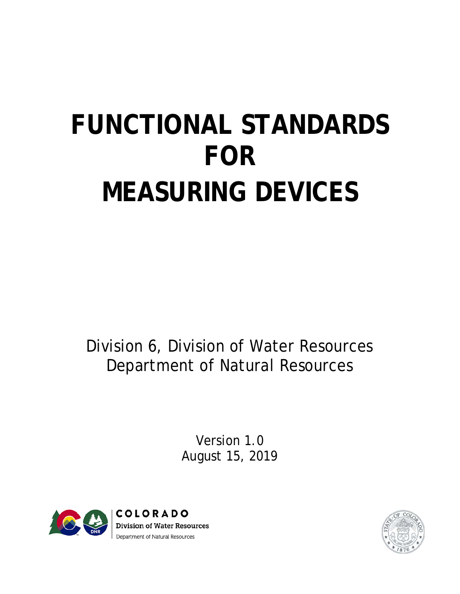# **FUNCTIONAL STANDARDS FOR MEASURING DEVICES**

Division 6, Division of Water Resources Department of Natural Resources

> Version 1.0 August 15, 2019



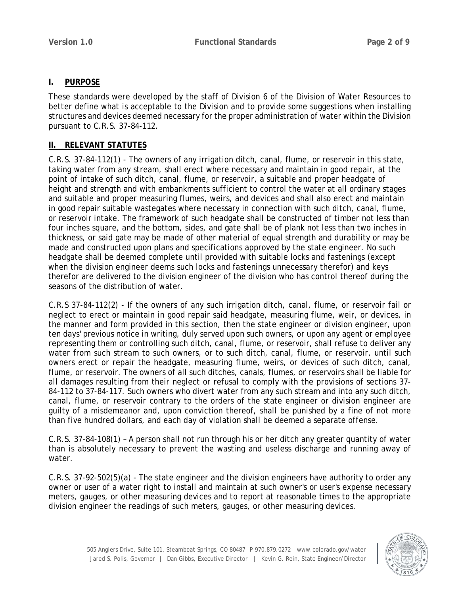# **I. PURPOSE**

These standards were developed by the staff of Division 6 of the Division of Water Resources to better define what is acceptable to the Division and to provide some suggestions when installing structures and devices deemed necessary for the proper administration of water within the Division pursuant to C.R.S. 37-84-112.

# **II. RELEVANT STATUTES**

C.R.S. 37-84-112(1) - The owners of any irrigation ditch, canal, flume, or reservoir in this state, taking water from any stream, shall erect where necessary and maintain in good repair, at the point of intake of such ditch, canal, flume, or reservoir, a suitable and proper headgate of height and strength and with embankments sufficient to control the water at all ordinary stages and suitable and proper measuring flumes, weirs, and devices and shall also erect and maintain in good repair suitable wastegates where necessary in connection with such ditch, canal, flume, or reservoir intake. The framework of such headgate shall be constructed of timber not less than four inches square, and the bottom, sides, and gate shall be of plank not less than two inches in thickness, or said gate may be made of other material of equal strength and durability or may be made and constructed upon plans and specifications approved by the state engineer. No such headgate shall be deemed complete until provided with suitable locks and fastenings (except when the division engineer deems such locks and fastenings unnecessary therefor) and keys therefor are delivered to the division engineer of the division who has control thereof during the seasons of the distribution of water.

C.R.S 37-84-112(2) - If the owners of any such irrigation ditch, canal, flume, or reservoir fail or neglect to erect or maintain in good repair said headgate, measuring flume, weir, or devices, in the manner and form provided in this section, then the state engineer or division engineer, upon ten days' previous notice in writing, duly served upon such owners, or upon any agent or employee representing them or controlling such ditch, canal, flume, or reservoir, shall refuse to deliver any water from such stream to such owners, or to such ditch, canal, flume, or reservoir, until such owners erect or repair the headgate, measuring flume, weirs, or devices of such ditch, canal, flume, or reservoir. The owners of all such ditches, canals, flumes, or reservoirs shall be liable for all damages resulting from their neglect or refusal to comply with the provisions of sections 37- 84-112 to 37-84-117. Such owners who divert water from any such stream and into any such ditch, canal, flume, or reservoir contrary to the orders of the state engineer or division engineer are guilty of a misdemeanor and, upon conviction thereof, shall be punished by a fine of not more than five hundred dollars, and each day of violation shall be deemed a separate offense.

C.R.S. 37-84-108(1) – A person shall not run through his or her ditch any greater quantity of water than is absolutely necessary to prevent the wasting and useless discharge and running away of water.

C.R.S. 37-92-502(5)(a) - The state engineer and the division engineers have authority to order any owner or user of a water right to install and maintain at such owner's or user's expense necessary meters, gauges, or other measuring devices and to report at reasonable times to the appropriate division engineer the readings of such meters, gauges, or other measuring devices.

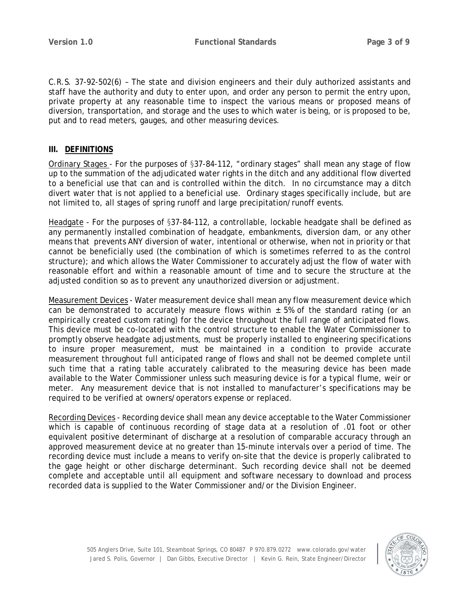C.R.S. 37-92-502(6) – The state and division engineers and their duly authorized assistants and staff have the authority and duty to enter upon, and order any person to permit the entry upon, private property at any reasonable time to inspect the various means or proposed means of diversion, transportation, and storage and the uses to which water is being, or is proposed to be, put and to read meters, gauges, and other measuring devices.

# **III. DEFINITIONS**

Ordinary Stages - For the purposes of §37-84-112, "ordinary stages" shall mean any stage of flow up to the summation of the adjudicated water rights in the ditch and any additional flow diverted to a beneficial use that can and is controlled within the ditch. In no circumstance may a ditch divert water that is not applied to a beneficial use. Ordinary stages specifically include, but are not limited to, all stages of spring runoff and large precipitation/runoff events.

Headgate - For the purposes of §37-84-112, a controllable, lockable headgate shall be defined as any permanently installed combination of headgate, embankments, diversion dam, or any other means that prevents ANY diversion of water, intentional or otherwise, when not in priority or that cannot be beneficially used (the combination of which is sometimes referred to as the control structure); and which allows the Water Commissioner to accurately adjust the flow of water with reasonable effort and within a reasonable amount of time and to secure the structure at the adjusted condition so as to prevent any unauthorized diversion or adjustment.

Measurement Devices - Water measurement device shall mean any flow measurement device which can be demonstrated to accurately measure flows within  $\pm$  5% of the standard rating (or an empirically created custom rating) for the device throughout the full range of anticipated flows. This device must be co-located with the control structure to enable the Water Commissioner to promptly observe headgate adjustments, must be properly installed to engineering specifications to insure proper measurement, must be maintained in a condition to provide accurate measurement throughout full anticipated range of flows and shall not be deemed complete until such time that a rating table accurately calibrated to the measuring device has been made available to the Water Commissioner unless such measuring device is for a typical flume, weir or meter. Any measurement device that is not installed to manufacturer's specifications may be required to be verified at owners/operators expense or replaced.

Recording Devices - Recording device shall mean any device acceptable to the Water Commissioner which is capable of continuous recording of stage data at a resolution of .01 foot or other equivalent positive determinant of discharge at a resolution of comparable accuracy through an approved measurement device at no greater than 15-minute intervals over a period of time. The recording device must include a means to verify on-site that the device is properly calibrated to the gage height or other discharge determinant. Such recording device shall not be deemed complete and acceptable until all equipment and software necessary to download and process recorded data is supplied to the Water Commissioner and/or the Division Engineer.

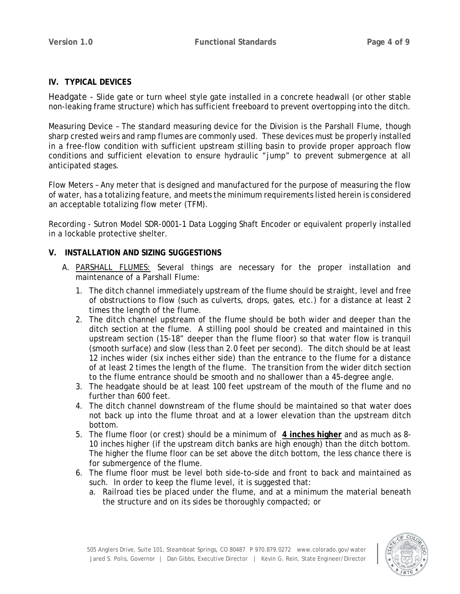# **IV. TYPICAL DEVICES**

Headgate - Slide gate or turn wheel style gate installed in a concrete headwall (or other stable non-leaking frame structure) which has sufficient freeboard to prevent overtopping into the ditch.

Measuring Device – The standard measuring device for the Division is the Parshall Flume, though sharp crested weirs and ramp flumes are commonly used. These devices must be properly installed in a free-flow condition with sufficient upstream stilling basin to provide proper approach flow conditions and sufficient elevation to ensure hydraulic "jump" to prevent submergence at all anticipated stages.

Flow Meters – Any meter that is designed and manufactured for the purpose of measuring the flow of water, has a totalizing feature, and meets the minimum requirements listed herein is considered an acceptable totalizing flow meter (TFM).

Recording - Sutron Model SDR-0001-1 Data Logging Shaft Encoder or equivalent properly installed in a lockable protective shelter.

# **V. INSTALLATION AND SIZING SUGGESTIONS**

- A. PARSHALL FLUMES: Several things are necessary for the proper installation and maintenance of a Parshall Flume:
	- 1. The ditch channel immediately upstream of the flume should be straight, level and free of obstructions to flow (such as culverts, drops, gates, etc.) for a distance at least 2 times the length of the flume.
	- 2. The ditch channel upstream of the flume should be both wider and deeper than the ditch section at the flume. A stilling pool should be created and maintained in this upstream section (15-18" deeper than the flume floor) so that water flow is tranquil (smooth surface) and slow (less than 2.0 feet per second). The ditch should be at least 12 inches wider (six inches either side) than the entrance to the flume for a distance of at least 2 times the length of the flume. The transition from the wider ditch section to the flume entrance should be smooth and no shallower than a 45-degree angle.
	- 3. The headgate should be at least 100 feet upstream of the mouth of the flume and no further than 600 feet.
	- 4. The ditch channel downstream of the flume should be maintained so that water does not back up into the flume throat and at a lower elevation than the upstream ditch bottom.
	- 5. The flume floor (or crest) should be a minimum of **4 inches higher** and as much as 8- 10 inches higher (if the upstream ditch banks are high enough) than the ditch bottom. The higher the flume floor can be set above the ditch bottom, the less chance there is for submergence of the flume.
	- 6. The flume floor must be level both side-to-side and front to back and maintained as such. In order to keep the flume level, it is suggested that:
		- a. Railroad ties be placed under the flume, and at a minimum the material beneath the structure and on its sides be thoroughly compacted; or

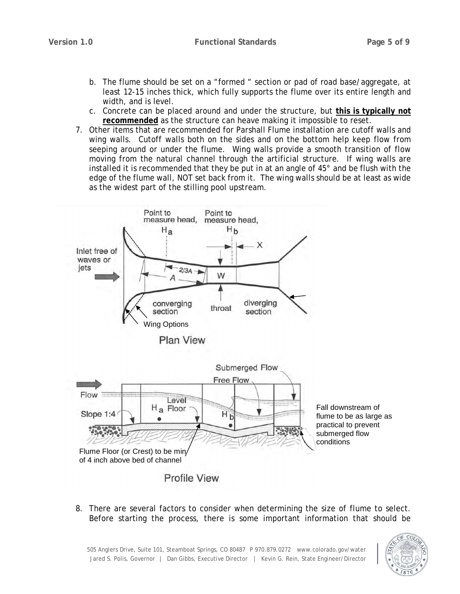- b. The flume should be set on a "formed " section or pad of road base/aggregate, at least 12-15 inches thick, which fully supports the flume over its entire length and width, and is level.
- c. Concrete can be placed around and under the structure, but **this is typically not recommended** as the structure can heave making it impossible to reset.
- 7. Other items that are recommended for Parshall Flume installation are cutoff walls and wing walls. Cutoff walls both on the sides and on the bottom help keep flow from seeping around or under the flume. Wing walls provide a smooth transition of flow moving from the natural channel through the artificial structure. If wing walls are installed it is recommended that they be put in at an angle of 45° and be flush with the edge of the flume wall, NOT set back from it. The wing walls should be at least as wide as the widest part of the stilling pool upstream.



8. There are several factors to consider when determining the size of flume to select. Before starting the process, there is some important information that should be

505 Anglers Drive, Suite 101, Steamboat Springs, CO 80487 P 970.879.0272 www.colorado.gov/water Jared S. Polis, Governor | Dan Gibbs, Executive Director | Kevin G. Rein, State Engineer/Director

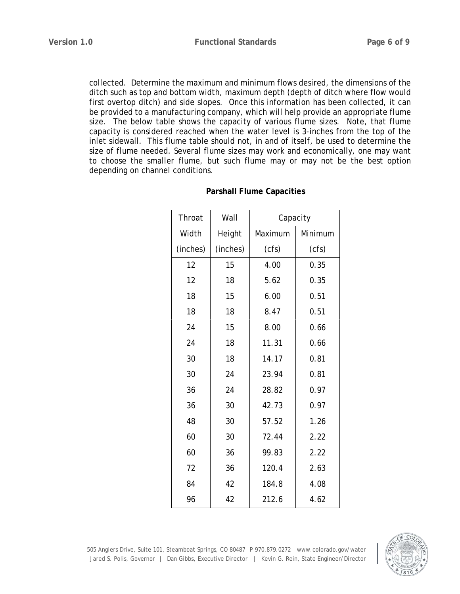collected. Determine the maximum and minimum flows desired, the dimensions of the ditch such as top and bottom width, maximum depth (depth of ditch where flow would first overtop ditch) and side slopes. Once this information has been collected, it can be provided to a manufacturing company, which will help provide an appropriate flume size. The below table shows the capacity of various flume sizes. Note, that flume capacity is considered reached when the water level is 3-inches from the top of the inlet sidewall. This flume table should not, in and of itself, be used to determine the size of flume needed. Several flume sizes may work and economically, one may want to choose the smaller flume, but such flume may or may not be the best option depending on channel conditions.

| Throat   | Wall     | Capacity |         |
|----------|----------|----------|---------|
| Width    | Height   | Maximum  | Minimum |
| (inches) | (inches) | (cfs)    | (cfs)   |
| 12       | 15       | 4.00     | 0.35    |
| 12       | 18       | 5.62     | 0.35    |
| 18       | 15       | 6.00     | 0.51    |
| 18       | 18       | 8.47     | 0.51    |
| 24       | 15       | 8.00     | 0.66    |
| 24       | 18       | 11.31    | 0.66    |
| 30       | 18       | 14.17    | 0.81    |
| 30       | 24       | 23.94    | 0.81    |
| 36       | 24       | 28.82    | 0.97    |
| 36       | 30       | 42.73    | 0.97    |
| 48       | 30       | 57.52    | 1.26    |
| 60       | 30       | 72.44    | 2.22    |
| 60       | 36       | 99.83    | 2.22    |
| 72       | 36       | 120.4    | 2.63    |
| 84       | 42       | 184.8    | 4.08    |
| 96       | 42       | 212.6    | 4.62    |

#### **Parshall Flume Capacities**

505 Anglers Drive, Suite 101, Steamboat Springs, CO 80487 P 970.879.0272 www.colorado.gov/water Jared S. Polis, Governor | Dan Gibbs, Executive Director | Kevin G. Rein, State Engineer/Director

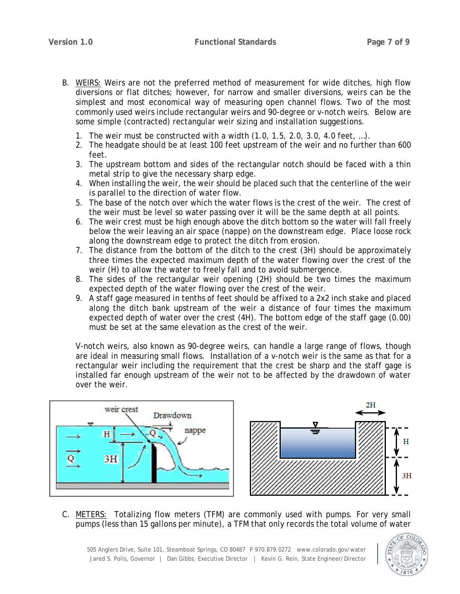- B. WEIRS: Weirs are not the preferred method of measurement for wide ditches, high flow diversions or flat ditches; however, for narrow and smaller diversions, weirs can be the simplest and most economical way of measuring open channel flows. Two of the most commonly used weirs include rectangular weirs and 90-degree or v-notch weirs. Below are some simple (contracted) rectangular weir sizing and installation suggestions.
	- 1. The weir must be constructed with a width (1.0, 1.5, 2.0, 3.0, 4.0 feet, …).
	- 2. The headgate should be at least 100 feet upstream of the weir and no further than 600 feet.
	- 3. The upstream bottom and sides of the rectangular notch should be faced with a thin metal strip to give the necessary sharp edge.
	- 4. When installing the weir, the weir should be placed such that the centerline of the weir is parallel to the direction of water flow.
	- 5. The base of the notch over which the water flows is the crest of the weir. The crest of the weir must be level so water passing over it will be the same depth at all points.
	- 6. The weir crest must be high enough above the ditch bottom so the water will fall freely below the weir leaving an air space (nappe) on the downstream edge. Place loose rock along the downstream edge to protect the ditch from erosion.
	- 7. The distance from the bottom of the ditch to the crest (3H) should be approximately three times the expected maximum depth of the water flowing over the crest of the weir (H) to allow the water to freely fall and to avoid submergence.
	- 8. The sides of the rectangular weir opening (2H) should be two times the maximum expected depth of the water flowing over the crest of the weir.
	- 9. A staff gage measured in tenths of feet should be affixed to a 2x2 inch stake and placed along the ditch bank upstream of the weir a distance of four times the maximum expected depth of water over the crest (4H). The bottom edge of the staff gage (0.00) must be set at the same elevation as the crest of the weir.

V-notch weirs, also known as 90-degree weirs, can handle a large range of flows, though are ideal in measuring small flows. Installation of a v-notch weir is the same as that for a rectangular weir including the requirement that the crest be sharp and the staff gage is installed far enough upstream of the weir not to be affected by the drawdown of water over the weir.





C. METERS: Totalizing flow meters (TFM) are commonly used with pumps. For very small pumps (less than 15 gallons per minute), a TFM that only records the total volume of water

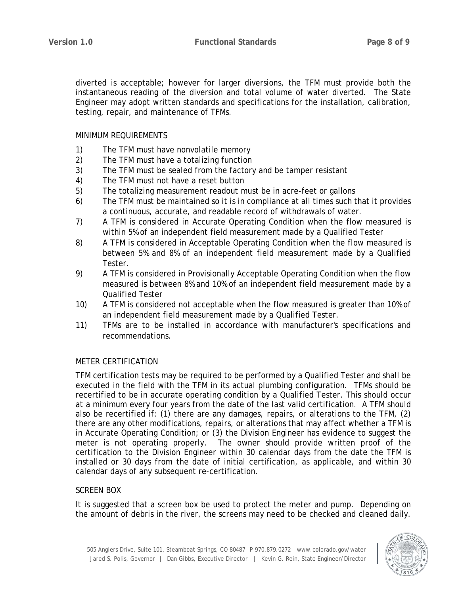diverted is acceptable; however for larger diversions, the TFM must provide both the instantaneous reading of the diversion and total volume of water diverted. The State Engineer may adopt written standards and specifications for the installation, calibration, testing, repair, and maintenance of TFMs.

#### MINIMUM REQUIREMENTS

- 1) The TFM must have nonvolatile memory
- 2) The TFM must have a totalizing function
- 3) The TFM must be sealed from the factory and be tamper resistant
- 4) The TFM must not have a reset button
- 5) The totalizing measurement readout must be in acre-feet or gallons
- 6) The TFM must be maintained so it is in compliance at all times such that it provides a continuous, accurate, and readable record of withdrawals of water.
- 7) A TFM is considered in Accurate Operating Condition when the flow measured is within 5% of an independent field measurement made by a Qualified Tester
- 8) A TFM is considered in Acceptable Operating Condition when the flow measured is between 5% and 8% of an independent field measurement made by a Qualified Tester.
- 9) A TFM is considered in Provisionally Acceptable Operating Condition when the flow measured is between 8% and 10% of an independent field measurement made by a Qualified Tester
- 10) A TFM is considered not acceptable when the flow measured is greater than 10% of an independent field measurement made by a Qualified Tester.
- 11) TFMs are to be installed in accordance with manufacturer's specifications and recommendations.

# METER CERTIFICATION

TFM certification tests may be required to be performed by a Qualified Tester and shall be executed in the field with the TFM in its actual plumbing configuration. TFMs should be recertified to be in accurate operating condition by a Qualified Tester. This should occur at a minimum every four years from the date of the last valid certification. A TFM should also be recertified if: (1) there are any damages, repairs, or alterations to the TFM, (2) there are any other modifications, repairs, or alterations that may affect whether a TFM is in Accurate Operating Condition; or (3) the Division Engineer has evidence to suggest the meter is not operating properly. The owner should provide written proof of the certification to the Division Engineer within 30 calendar days from the date the TFM is installed or 30 days from the date of initial certification, as applicable, and within 30 calendar days of any subsequent re-certification.

# SCREEN BOX

It is suggested that a screen box be used to protect the meter and pump. Depending on the amount of debris in the river, the screens may need to be checked and cleaned daily.